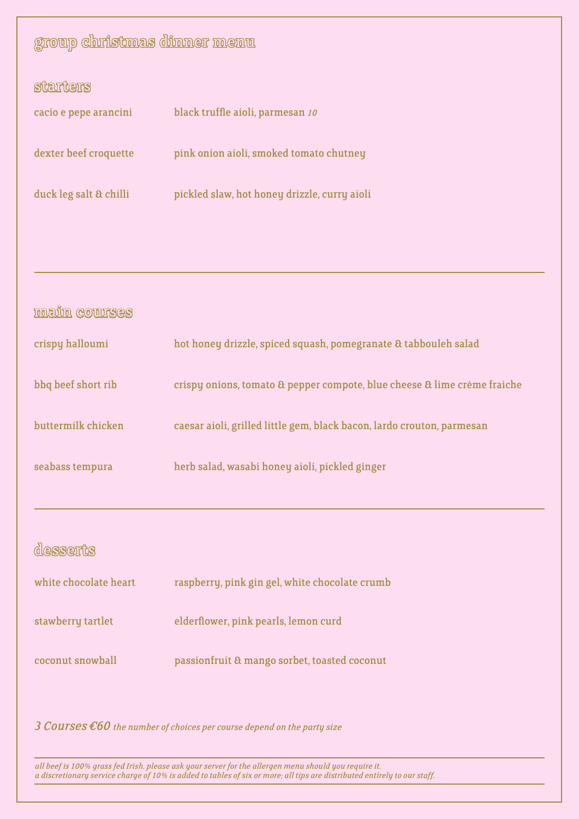| group christmas dinner menu                                                         |                                                                          |  |
|-------------------------------------------------------------------------------------|--------------------------------------------------------------------------|--|
| starters                                                                            |                                                                          |  |
| cacio e pepe arancini                                                               | black truffle aioli, parmesan 10                                         |  |
| dexter beef croquette                                                               | pink onion aioli, smoked tomato chutney                                  |  |
| duck leg salt & chilli                                                              | pickled slaw, hot honey drizzle, curry aioli                             |  |
|                                                                                     |                                                                          |  |
|                                                                                     |                                                                          |  |
|                                                                                     |                                                                          |  |
| <b>main courses</b>                                                                 |                                                                          |  |
| crispy halloumi                                                                     | hot honey drizzle, spiced squash, pomegranate & tabbouleh salad          |  |
| bbq beef short rib                                                                  | crispy onions, tomato & pepper compote, blue cheese & lime crème fraiche |  |
| buttermilk chicken                                                                  | caesar aioli, grilled little gem, black bacon, lardo crouton, parmesan   |  |
| seabass tempura                                                                     | herb salad, wasabi honey aioli, pickled ginger                           |  |
|                                                                                     |                                                                          |  |
| desserts                                                                            |                                                                          |  |
| white chocolate heart                                                               | raspberry, pink gin gel, white chocolate crumb                           |  |
| stawberry tartlet                                                                   | elderflower, pink pearls, lemon curd                                     |  |
| coconut snowball                                                                    | passionfruit & mango sorbet, toasted coconut                             |  |
|                                                                                     |                                                                          |  |
| $3$ COUTSES $\epsilon$ 60 the number of choices per course depend on the party size |                                                                          |  |

*all beef is 100% grass fed Irish. please ask your server for the allergen menu should you require it. a discretionary service charge of 10% is added to tables of six or more; all tips are distributed entirely to our staff.*